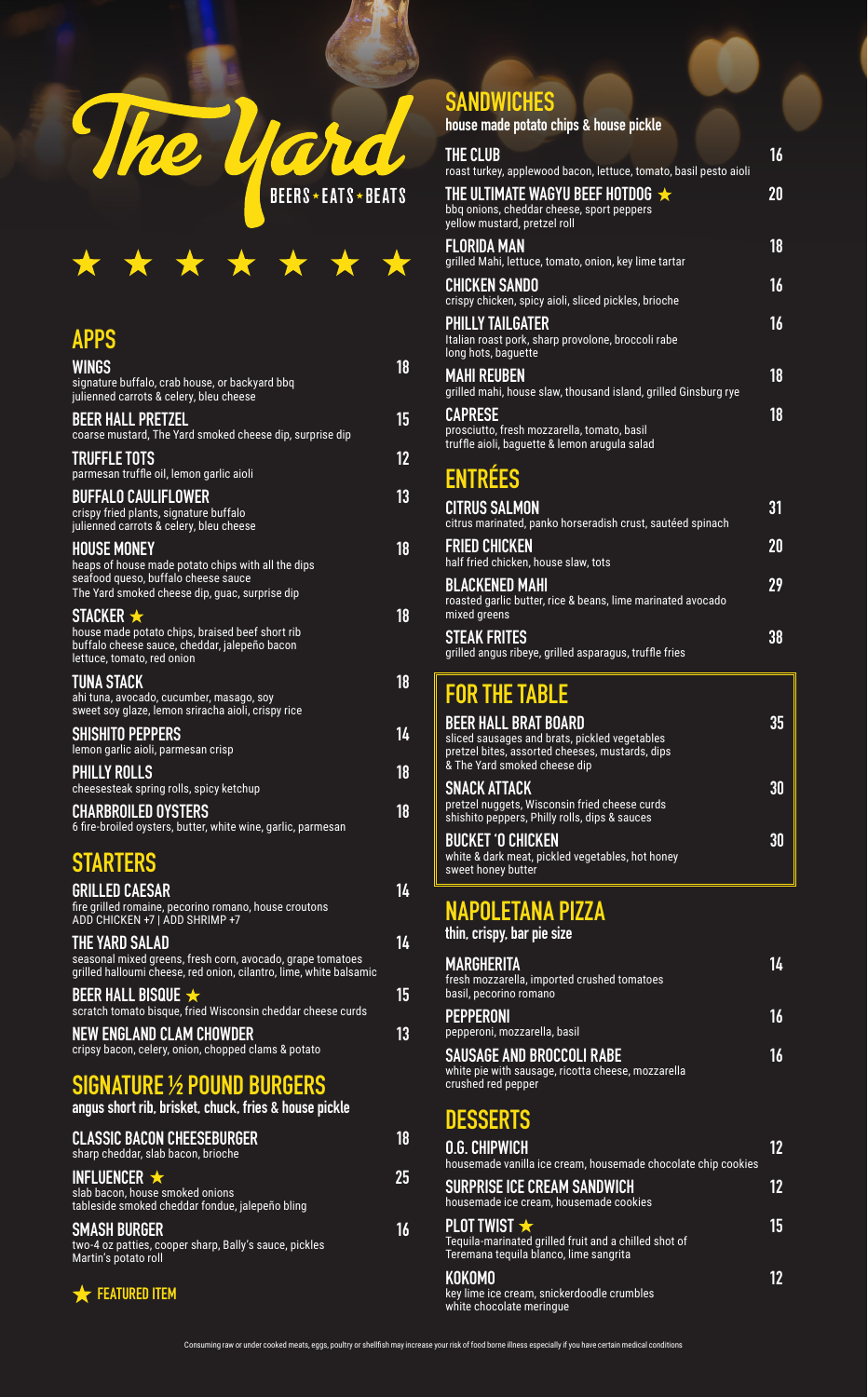



#### **APPS**

| <b>WINGS</b><br>signature buffalo, crab house, or backyard bbg<br>julienned carrots & celery, bleu cheese                                                         | 18 |
|-------------------------------------------------------------------------------------------------------------------------------------------------------------------|----|
| <b>BEER HALL PRETZEL</b><br>coarse mustard, The Yard smoked cheese dip, surprise dip                                                                              | 15 |
| <b>TRUFFLE TOTS</b><br>parmesan truffle oil, lemon garlic aioli                                                                                                   | 12 |
| <b>BUFFALO CAULIFLOWER</b><br>crispy fried plants, signature buffalo<br>julienned carrots & celery, bleu cheese                                                   | 13 |
| <b>HOUSE MONEY</b><br>heaps of house made potato chips with all the dips<br>seafood queso, buffalo cheese sauce<br>The Yard smoked cheese dip, quac, surprise dip | 18 |
| STACKER $\bigstar$<br>house made potato chips, braised beef short rib<br>buffalo cheese sauce, cheddar, jalepeño bacon<br>lettuce, tomato, red onion              | 18 |
| <b>TUNA STACK</b><br>ahi tuna, avocado, cucumber, masago, soy<br>sweet soy glaze, lemon sriracha aioli, crispy rice                                               | 18 |
| <b>SHISHITO PEPPERS</b><br>lemon garlic aioli, parmesan crisp                                                                                                     | 14 |
| <b>PHILLY ROLLS</b><br>cheesesteak spring rolls, spicy ketchup                                                                                                    | 18 |
| <b>CHARBROILED OYSTERS</b><br>6 fire-broiled oysters, butter, white wine, garlic, parmesan                                                                        | 18 |

## **STARTERS**

| <b>GRILLED CAESAR</b><br>fire grilled romaine, pecorino romano, house croutons<br>ADD CHICKEN +7   ADD SHRIMP +7                                   | 14 |
|----------------------------------------------------------------------------------------------------------------------------------------------------|----|
| THE YARD SALAD<br>seasonal mixed greens, fresh corn, avocado, grape tomatoes<br>grilled halloumi cheese, red onion, cilantro, lime, white balsamic | 14 |
| BEER HALL BISQUE $\bigstar$<br>scratch tomato bisque, fried Wisconsin cheddar cheese curds                                                         | 15 |
| <b>NEW ENGLAND CLAM CHOWDER</b><br>cripsy bacon, celery, onion, chopped clams & potato                                                             | 13 |
| <b>SIGNATURE 1/2 POUND BURGERS</b><br>angus short rib, brisket, chuck, fries & house pickle                                                        |    |

| <b>CLASSIC BACON CHEESEBURGER</b><br>sharp cheddar, slab bacon, brioche                                  | 18 |
|----------------------------------------------------------------------------------------------------------|----|
| INFLUENCER $\star$<br>slab bacon, house smoked onions<br>tableside smoked cheddar fondue, jalepeño bling | 25 |
| <b>SMASH BURGER</b><br>two-4 oz patties, cooper sharp, Bally's sauce, pickles<br>Martin's potato roll    | 16 |
| <b>EXTURED ITEM</b>                                                                                      |    |

#### **SANDWICHES**

| house made potato chips & house pickle                                                                              |    |
|---------------------------------------------------------------------------------------------------------------------|----|
| <b>THE CLUB</b><br>roast turkey, applewood bacon, lettuce, tomato, basil pesto aioli                                | 16 |
| THE ULTIMATE WAGYU BEEF HOTDOG $\star$<br>bbq onions, cheddar cheese, sport peppers<br>yellow mustard, pretzel roll | 20 |
| <b>FLORIDA MAN</b><br>grilled Mahi, lettuce, tomato, onion, key lime tartar                                         | 18 |
| <b>CHICKEN SANDO</b><br>crispy chicken, spicy aioli, sliced pickles, brioche                                        | 16 |
| <b>PHILLY TAILGATER</b><br>Italian roast pork, sharp provolone, broccoli rabe<br>long hots, baquette                | 16 |
| <b>MAHI REUBEN</b><br>grilled mahi, house slaw, thousand island, grilled Ginsburg rye                               | 18 |
| <b>CAPRESE</b><br>prosciutto, fresh mozzarella, tomato, basil<br>truffle aioli, baguette & lemon arugula salad      | 18 |

### **ENTRÉES**

| <b>CITRUS SALMON</b><br>citrus marinated, panko horseradish crust, sautéed spinach                   | 31  |
|------------------------------------------------------------------------------------------------------|-----|
| <b>FRIED CHICKEN</b><br>half fried chicken, house slaw, tots                                         | 20  |
| <b>BLACKENED MAHI</b><br>roasted garlic butter, rice & beans, lime marinated avocado<br>mixed greens | 29  |
| <b>STEAK FRITES</b><br>grilled angus ribeye, grilled asparagus, truffle fries                        | 38. |

## **FOR THE TABLE**

| <b>BEER HALL BRAT BOARD</b><br>sliced sausages and brats, pickled vegetables<br>pretzel bites, assorted cheeses, mustards, dips<br>& The Yard smoked cheese dip | 35 |
|-----------------------------------------------------------------------------------------------------------------------------------------------------------------|----|
| <b>SNACK ATTACK</b><br>pretzel nuggets, Wisconsin fried cheese curds<br>shishito peppers, Philly rolls, dips & sauces                                           | 30 |
| <b>BUCKET 'O CHICKEN</b><br>white & dark meat, pickled vegetables, hot honey<br>sweet honey butter                                                              | 30 |

# **NAPOLETANA PIZZA**

| thin, crispy, bar pie size                                                                                   |    |
|--------------------------------------------------------------------------------------------------------------|----|
| <b>MARGHERITA</b><br>fresh mozzarella, imported crushed tomatoes<br>basil, pecorino romano                   | 14 |
| <b>PEPPERONI</b><br>pepperoni, mozzarella, basil                                                             | 16 |
| <b>SAUSAGE AND BROCCOLI RABE</b><br>white pie with sausage, ricotta cheese, mozzarella<br>crushed red pepper | 16 |

### **DESSERTS**

| <b>0.G. CHIPWICH</b><br>housemade vanilla ice cream, housemade chocolate chip cookies                                    |    |
|--------------------------------------------------------------------------------------------------------------------------|----|
| <b>SURPRISE ICE CREAM SANDWICH</b><br>housemade ice cream, housemade cookies                                             | 12 |
| PLOT TWIST $\bigstar$<br>Tequila-marinated grilled fruit and a chilled shot of<br>Teremana tequila blanco, lime sangrita | 15 |
| <b>KOKOMO</b><br>key lime ice cream, snickerdoodle crumbles<br>white chocolate meringue                                  |    |

Consuming raw or under cooked meats, eggs, poultry or shellfish may increase your risk of food borne illness especially if you have certain medical conditi